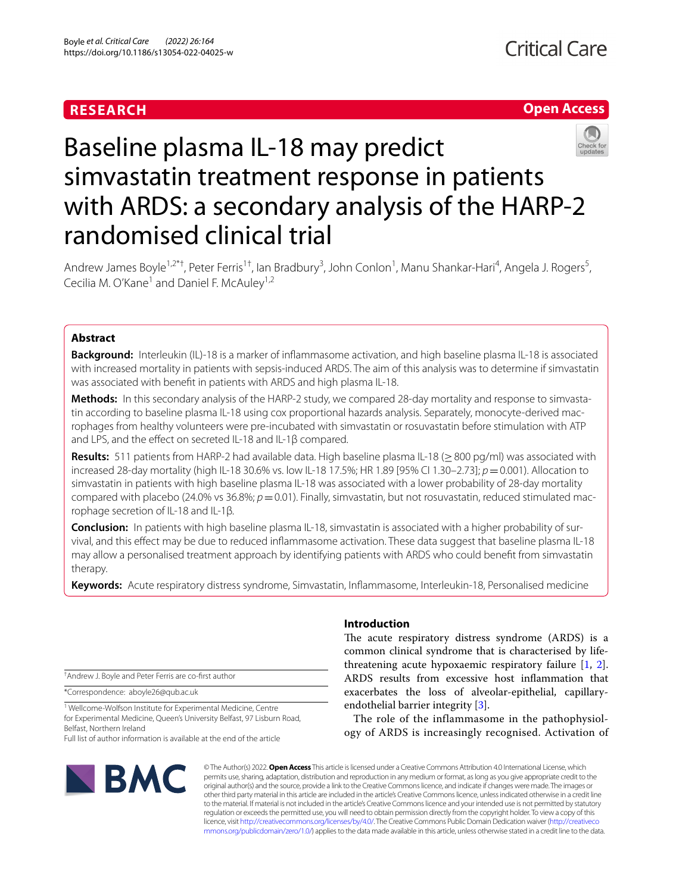## **RESEARCH**

### **Open Access**



# Baseline plasma IL-18 may predict simvastatin treatment response in patients with ARDS: a secondary analysis of the HARP-2 randomised clinical trial

Andrew James Boyle<sup>1,2\*†</sup>, Peter Ferris<sup>1†</sup>, Ian Bradbury<sup>3</sup>, John Conlon<sup>1</sup>, Manu Shankar-Hari<sup>4</sup>, Angela J. Rogers<sup>5</sup>, Cecilia M. O'Kane<sup>1</sup> and Daniel F. McAuley<sup>1,2</sup>

#### **Abstract**

**Background:** Interleukin (IL)-18 is a marker of infammasome activation, and high baseline plasma IL-18 is associated with increased mortality in patients with sepsis-induced ARDS. The aim of this analysis was to determine if simvastatin was associated with beneft in patients with ARDS and high plasma IL-18.

Methods: In this secondary analysis of the HARP-2 study, we compared 28-day mortality and response to simvastatin according to baseline plasma IL-18 using cox proportional hazards analysis. Separately, monocyte-derived macrophages from healthy volunteers were pre-incubated with simvastatin or rosuvastatin before stimulation with ATP and LPS, and the efect on secreted IL-18 and IL-1β compared.

**Results:** 511 patients from HARP-2 had available data. High baseline plasma IL-18 (≥800 pg/ml) was associated with increased 28-day mortality (high IL-18 30.6% vs. low IL-18 17.5%; HR 1.89 [95% CI 1.30–2.73]; *p*=0.001). Allocation to simvastatin in patients with high baseline plasma IL-18 was associated with a lower probability of 28-day mortality compared with placebo (24.0% vs 36.8%;  $p = 0.01$ ). Finally, simvastatin, but not rosuvastatin, reduced stimulated macrophage secretion of IL-18 and IL-1β.

**Conclusion:** In patients with high baseline plasma IL-18, simvastatin is associated with a higher probability of survival, and this efect may be due to reduced infammasome activation. These data suggest that baseline plasma IL-18 may allow a personalised treatment approach by identifying patients with ARDS who could beneft from simvastatin therapy.

**Keywords:** Acute respiratory distress syndrome, Simvastatin, Infammasome, Interleukin-18, Personalised medicine

† Andrew J. Boyle and Peter Ferris are co-frst author

\*Correspondence: aboyle26@qub.ac.uk

<sup>1</sup> Wellcome-Wolfson Institute for Experimental Medicine, Centre for Experimental Medicine, Queen's University Belfast, 97 Lisburn Road, Belfast, Northern Ireland

Full list of author information is available at the end of the article

# **BMC**

#### **Introduction**

The acute respiratory distress syndrome (ARDS) is a common clinical syndrome that is characterised by lifethreatening acute hypoxaemic respiratory failure [\[1](#page-6-0), [2](#page-6-1)]. ARDS results from excessive host infammation that exacerbates the loss of alveolar-epithelial, capillaryendothelial barrier integrity [\[3](#page-6-2)].

The role of the inflammasome in the pathophysiology of ARDS is increasingly recognised. Activation of

© The Author(s) 2022. **Open Access** This article is licensed under a Creative Commons Attribution 4.0 International License, which permits use, sharing, adaptation, distribution and reproduction in any medium or format, as long as you give appropriate credit to the original author(s) and the source, provide a link to the Creative Commons licence, and indicate if changes were made. The images or other third party material in this article are included in the article's Creative Commons licence, unless indicated otherwise in a credit line to the material. If material is not included in the article's Creative Commons licence and your intended use is not permitted by statutory regulation or exceeds the permitted use, you will need to obtain permission directly from the copyright holder. To view a copy of this licence, visit [http://creativecommons.org/licenses/by/4.0/.](http://creativecommons.org/licenses/by/4.0/) The Creative Commons Public Domain Dedication waiver ([http://creativeco](http://creativecommons.org/publicdomain/zero/1.0/) [mmons.org/publicdomain/zero/1.0/](http://creativecommons.org/publicdomain/zero/1.0/)) applies to the data made available in this article, unless otherwise stated in a credit line to the data.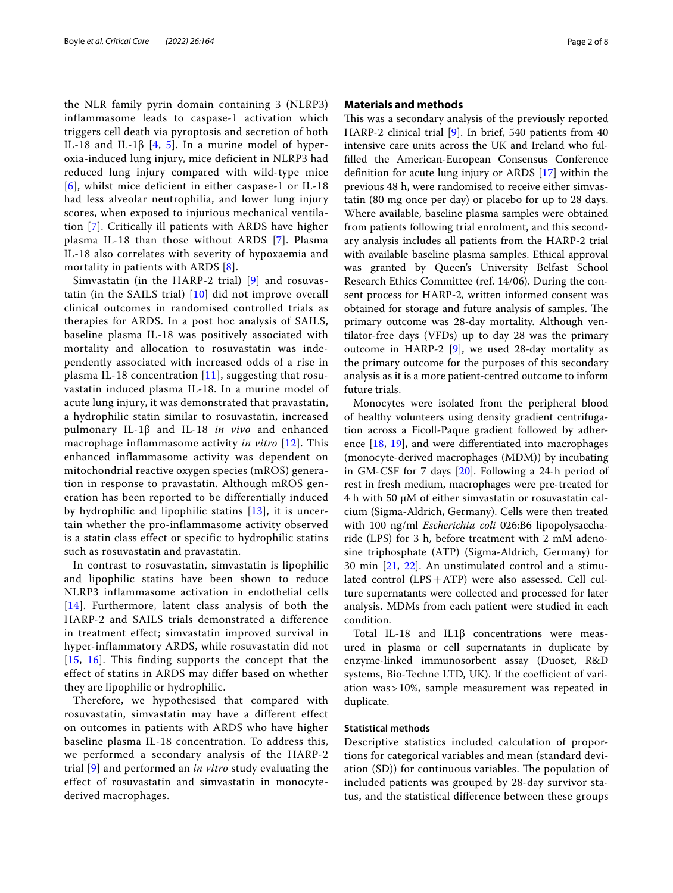the NLR family pyrin domain containing 3 (NLRP3) inflammasome leads to caspase-1 activation which triggers cell death via pyroptosis and secretion of both IL-18 and IL-1β [[4](#page-6-3), [5\]](#page-6-4). In a murine model of hyperoxia-induced lung injury, mice deficient in NLRP3 had reduced lung injury compared with wild-type mice [[6](#page-6-5)], whilst mice deficient in either caspase-1 or IL-18 had less alveolar neutrophilia, and lower lung injury scores, when exposed to injurious mechanical ventilation [[7\]](#page-6-6). Critically ill patients with ARDS have higher plasma IL-18 than those without ARDS [[7\]](#page-6-6). Plasma IL-18 also correlates with severity of hypoxaemia and mortality in patients with ARDS [[8](#page-6-7)].

Simvastatin (in the HARP-2 trial) [[9\]](#page-6-8) and rosuvastatin (in the SAILS trial) [[10](#page-6-9)] did not improve overall clinical outcomes in randomised controlled trials as therapies for ARDS. In a post hoc analysis of SAILS, baseline plasma IL-18 was positively associated with mortality and allocation to rosuvastatin was independently associated with increased odds of a rise in plasma IL-18 concentration [[11\]](#page-6-10), suggesting that rosuvastatin induced plasma IL-18. In a murine model of acute lung injury, it was demonstrated that pravastatin, a hydrophilic statin similar to rosuvastatin, increased pulmonary IL-1β and IL-18 *in vivo* and enhanced macrophage inflammasome activity *in vitro* [\[12\]](#page-7-0). This enhanced inflammasome activity was dependent on mitochondrial reactive oxygen species (mROS) generation in response to pravastatin. Although mROS generation has been reported to be differentially induced by hydrophilic and lipophilic statins [\[13\]](#page-7-1), it is uncertain whether the pro-inflammasome activity observed is a statin class effect or specific to hydrophilic statins such as rosuvastatin and pravastatin.

In contrast to rosuvastatin, simvastatin is lipophilic and lipophilic statins have been shown to reduce NLRP3 inflammasome activation in endothelial cells [[14](#page-7-2)]. Furthermore, latent class analysis of both the HARP-2 and SAILS trials demonstrated a difference in treatment effect; simvastatin improved survival in hyper-inflammatory ARDS, while rosuvastatin did not [[15](#page-7-3), [16\]](#page-7-4). This finding supports the concept that the effect of statins in ARDS may differ based on whether they are lipophilic or hydrophilic.

Therefore, we hypothesised that compared with rosuvastatin, simvastatin may have a different effect on outcomes in patients with ARDS who have higher baseline plasma IL-18 concentration. To address this, we performed a secondary analysis of the HARP-2 trial [\[9\]](#page-6-8) and performed an *in vitro* study evaluating the effect of rosuvastatin and simvastatin in monocytederived macrophages.

#### **Materials and methods**

This was a secondary analysis of the previously reported HARP-2 clinical trial [\[9](#page-6-8)]. In brief, 540 patients from 40 intensive care units across the UK and Ireland who fulflled the American-European Consensus Conference defnition for acute lung injury or ARDS [[17\]](#page-7-5) within the previous 48 h, were randomised to receive either simvastatin (80 mg once per day) or placebo for up to 28 days. Where available, baseline plasma samples were obtained from patients following trial enrolment, and this secondary analysis includes all patients from the HARP-2 trial with available baseline plasma samples. Ethical approval was granted by Queen's University Belfast School Research Ethics Committee (ref. 14/06). During the consent process for HARP-2, written informed consent was obtained for storage and future analysis of samples. The primary outcome was 28-day mortality. Although ventilator-free days (VFDs) up to day 28 was the primary outcome in HARP-2  $[9]$  $[9]$ , we used 28-day mortality as the primary outcome for the purposes of this secondary analysis as it is a more patient-centred outcome to inform future trials.

Monocytes were isolated from the peripheral blood of healthy volunteers using density gradient centrifugation across a Ficoll-Paque gradient followed by adherence [\[18,](#page-7-6) [19\]](#page-7-7), and were diferentiated into macrophages (monocyte-derived macrophages (MDM)) by incubating in GM-CSF for 7 days [\[20](#page-7-8)]. Following a 24-h period of rest in fresh medium, macrophages were pre-treated for 4 h with 50 µM of either simvastatin or rosuvastatin calcium (Sigma-Aldrich, Germany). Cells were then treated with 100 ng/ml *Escherichia coli* 026:B6 lipopolysaccharide (LPS) for 3 h, before treatment with 2 mM adenosine triphosphate (ATP) (Sigma-Aldrich, Germany) for 30 min [[21,](#page-7-9) [22\]](#page-7-10). An unstimulated control and a stimulated control  $(LPS + ATP)$  were also assessed. Cell culture supernatants were collected and processed for later analysis. MDMs from each patient were studied in each condition.

Total IL-18 and IL1β concentrations were measured in plasma or cell supernatants in duplicate by enzyme-linked immunosorbent assay (Duoset, R&D systems, Bio-Techne LTD, UK). If the coefficient of variation was>10%, sample measurement was repeated in duplicate.

#### **Statistical methods**

Descriptive statistics included calculation of proportions for categorical variables and mean (standard deviation (SD)) for continuous variables. The population of included patients was grouped by 28-day survivor status, and the statistical diference between these groups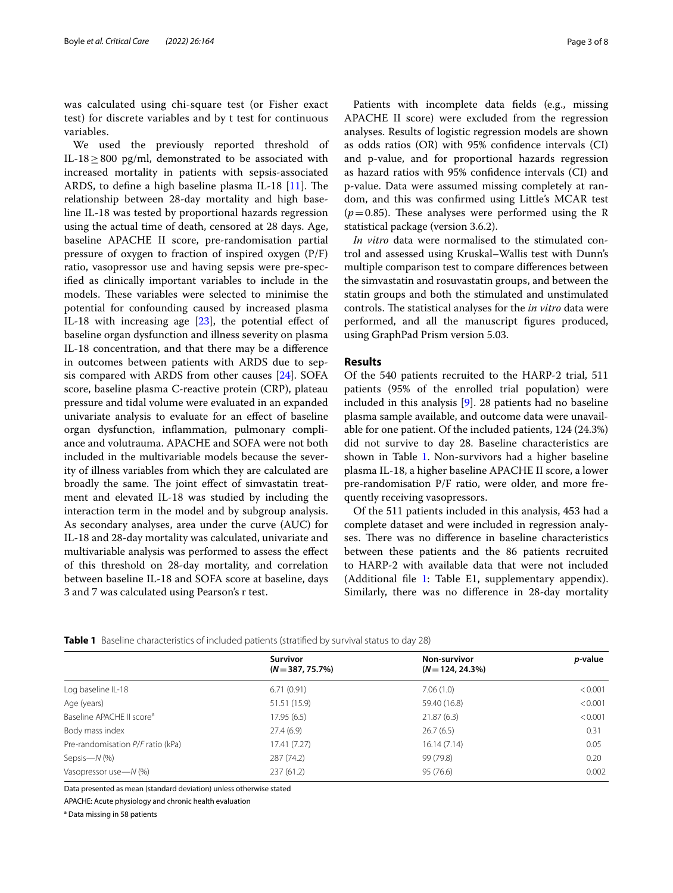was calculated using chi-square test (or Fisher exact test) for discrete variables and by t test for continuous variables.

We used the previously reported threshold of IL-18≥800 pg/ml, demonstrated to be associated with increased mortality in patients with sepsis-associated ARDS, to define a high baseline plasma IL-18  $[11]$  $[11]$ . The relationship between 28-day mortality and high baseline IL-18 was tested by proportional hazards regression using the actual time of death, censored at 28 days. Age, baseline APACHE II score, pre-randomisation partial pressure of oxygen to fraction of inspired oxygen (P/F) ratio, vasopressor use and having sepsis were pre-specifed as clinically important variables to include in the models. These variables were selected to minimise the potential for confounding caused by increased plasma IL-18 with increasing age  $[23]$  $[23]$  $[23]$ , the potential effect of baseline organ dysfunction and illness severity on plasma IL-18 concentration, and that there may be a diference in outcomes between patients with ARDS due to sepsis compared with ARDS from other causes [\[24](#page-7-12)]. SOFA score, baseline plasma C-reactive protein (CRP), plateau pressure and tidal volume were evaluated in an expanded univariate analysis to evaluate for an efect of baseline organ dysfunction, infammation, pulmonary compliance and volutrauma. APACHE and SOFA were not both included in the multivariable models because the severity of illness variables from which they are calculated are broadly the same. The joint effect of simvastatin treatment and elevated IL-18 was studied by including the interaction term in the model and by subgroup analysis. As secondary analyses, area under the curve (AUC) for IL-18 and 28-day mortality was calculated, univariate and multivariable analysis was performed to assess the efect of this threshold on 28-day mortality, and correlation between baseline IL-18 and SOFA score at baseline, days 3 and 7 was calculated using Pearson's r test.

Patients with incomplete data felds (e.g., missing APACHE II score) were excluded from the regression analyses. Results of logistic regression models are shown as odds ratios (OR) with 95% confdence intervals (CI) and p-value, and for proportional hazards regression as hazard ratios with 95% confdence intervals (CI) and p-value. Data were assumed missing completely at random, and this was confrmed using Little's MCAR test  $(p=0.85)$ . These analyses were performed using the R statistical package (version 3.6.2).

*In vitro* data were normalised to the stimulated control and assessed using Kruskal–Wallis test with Dunn's multiple comparison test to compare diferences between the simvastatin and rosuvastatin groups, and between the statin groups and both the stimulated and unstimulated controls. The statistical analyses for the *in vitro* data were performed, and all the manuscript fgures produced, using GraphPad Prism version 5.03.

#### **Results**

Of the 540 patients recruited to the HARP-2 trial, 511 patients (95% of the enrolled trial population) were included in this analysis [\[9\]](#page-6-8). 28 patients had no baseline plasma sample available, and outcome data were unavailable for one patient. Of the included patients, 124 (24.3%) did not survive to day 28. Baseline characteristics are shown in Table [1](#page-2-0). Non-survivors had a higher baseline plasma IL-18, a higher baseline APACHE II score, a lower pre-randomisation P/F ratio, were older, and more frequently receiving vasopressors.

Of the 511 patients included in this analysis, 453 had a complete dataset and were included in regression analyses. There was no difference in baseline characteristics between these patients and the 86 patients recruited to HARP-2 with available data that were not included (Additional file [1](#page-6-11): Table E1, supplementary appendix). Similarly, there was no diference in 28-day mortality

<span id="page-2-0"></span>

| Table 1 Baseline characteristics of included patients (stratified by survival status to day 28) |  |  |
|-------------------------------------------------------------------------------------------------|--|--|
|-------------------------------------------------------------------------------------------------|--|--|

|                                       | <b>Survivor</b><br>$(N=387, 75.7\%)$ | Non-survivor<br>$(N=124, 24.3\%)$ | <i>p</i> -value |  |
|---------------------------------------|--------------------------------------|-----------------------------------|-----------------|--|
| Log baseline IL-18                    | 6.71(0.91)                           | 7.06(1.0)                         | < 0.001         |  |
| Age (years)                           | 51.51 (15.9)                         | 59.40 (16.8)                      | < 0.001         |  |
| Baseline APACHE II score <sup>a</sup> | 17.95 (6.5)                          | 21.87(6.3)                        | < 0.001         |  |
| Body mass index                       | 27.4(6.9)                            | 26.7(6.5)                         | 0.31            |  |
| Pre-randomisation P/F ratio (kPa)     | 17.41 (7.27)                         | 16.14(7.14)                       | 0.05            |  |
| Sepsis- $N$ (%)                       | 287 (74.2)                           | 99 (79.8)                         | 0.20            |  |
| Vasopressor use-N (%)                 | 237(61.2)                            | 95(76.6)                          | 0.002           |  |
|                                       |                                      |                                   |                 |  |

Data presented as mean (standard deviation) unless otherwise stated

APACHE: Acute physiology and chronic health evaluation

<sup>a</sup> Data missing in 58 patients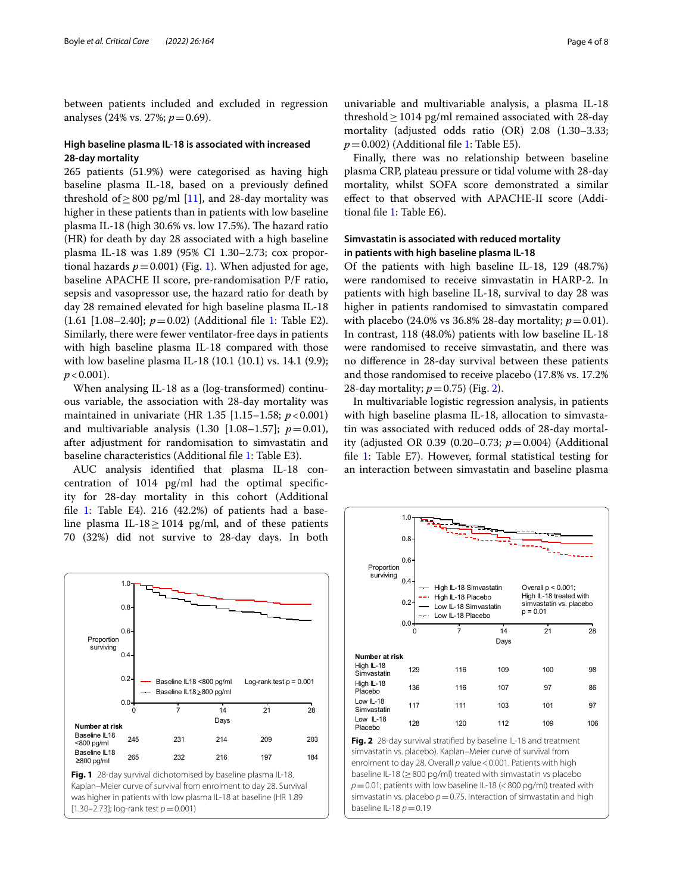between patients included and excluded in regression analyses (24% vs. 27%; *p*=0.69).

#### **High baseline plasma IL-18 is associated with increased 28-day mortality**

265 patients (51.9%) were categorised as having high baseline plasma IL-18, based on a previously defned threshold of  $>800$  pg/ml [[11\]](#page-6-10), and 28-day mortality was higher in these patients than in patients with low baseline plasma IL-18 (high 30.6% vs. low 17.5%). The hazard ratio (HR) for death by day 28 associated with a high baseline plasma IL-18 was 1.89 (95% CI 1.30–2.73; cox proportional hazards  $p=0.001$  $p=0.001$ ) (Fig. 1). When adjusted for age, baseline APACHE II score, pre-randomisation P/F ratio, sepsis and vasopressor use, the hazard ratio for death by day 28 remained elevated for high baseline plasma IL-18 (1.61 [1.08–2.40]; *p*=0.02) (Additional fle [1](#page-6-11): Table E2). Similarly, there were fewer ventilator-free days in patients with high baseline plasma IL-18 compared with those with low baseline plasma IL-18 (10.1 (10.1) vs. 14.1 (9.9);  $p < 0.001$ ).

When analysing IL-18 as a (log-transformed) continuous variable, the association with 28-day mortality was maintained in univariate (HR 1.35 [1.15–1.58; *p*<0.001) and multivariable analysis  $(1.30 \, [1.08-1.57]; p=0.01)$ , after adjustment for randomisation to simvastatin and baseline characteristics (Additional fle [1](#page-6-11): Table E3).

AUC analysis identifed that plasma IL-18 concentration of 1014 pg/ml had the optimal specifcity for 28-day mortality in this cohort (Additional file [1:](#page-6-11) Table E4). 216  $(42.2%)$  of patients had a baseline plasma IL-18 $\geq$ 1014 pg/ml, and of these patients 70 (32%) did not survive to 28-day days. In both

<span id="page-3-0"></span>0 7 14 21 28 0.0 0.2 0.4 0.6 0.8 1.0 Baseline IL18 ≥800 pg/ml Baseline IL18 <800 pg/ml Log-rank test p = 0.001 **Number at risk** Baseline IL18 <800 pg/ml Baseline IL18 ≥800 pg/ml Days Proportion surviving 245 231 214 209 203 265 232 216 197 184 **Fig. 1** 28-day survival dichotomised by baseline plasma IL-18. Kaplan–Meier curve of survival from enrolment to day 28. Survival was higher in patients with low plasma IL-18 at baseline (HR 1.89 [1.30–2.73]; log-rank test *p*=0.001)

univariable and multivariable analysis, a plasma IL-18 threshold  $\geq$  1014 pg/ml remained associated with 28-day mortality (adjusted odds ratio (OR) 2.08 (1.30–3.33;  $p=0.002$ ) (Additional file [1](#page-6-11): Table E5).

Finally, there was no relationship between baseline plasma CRP, plateau pressure or tidal volume with 28-day mortality, whilst SOFA score demonstrated a similar efect to that observed with APACHE-II score (Additional fle [1](#page-6-11): Table E6).

#### **Simvastatin is associated with reduced mortality in patients with high baseline plasma IL-18**

Of the patients with high baseline IL-18, 129 (48.7%) were randomised to receive simvastatin in HARP-2. In patients with high baseline IL-18, survival to day 28 was higher in patients randomised to simvastatin compared with placebo (24.0% vs 36.8% 28-day mortality;  $p = 0.01$ ). In contrast, 118 (48.0%) patients with low baseline IL-18 were randomised to receive simvastatin, and there was no diference in 28-day survival between these patients and those randomised to receive placebo (17.8% vs. 17.2% 28-day mortality;  $p=0.75$ ) (Fig. [2](#page-3-1)).

In multivariable logistic regression analysis, in patients with high baseline plasma IL-18, allocation to simvastatin was associated with reduced odds of 28-day mortality (adjusted OR 0.39 (0.20–0.73; *p*=0.004) (Additional fle [1](#page-6-11): Table E7). However, formal statistical testing for an interaction between simvastatin and baseline plasma

<span id="page-3-1"></span>

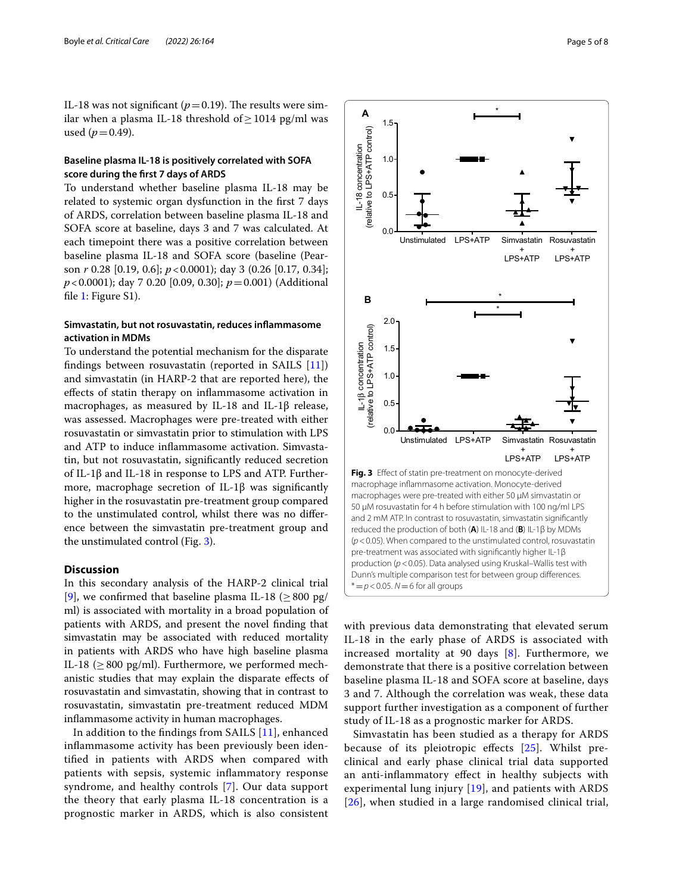IL-18 was not significant ( $p=0.19$ ). The results were similar when a plasma IL-18 threshold of  $\geq$  1014 pg/ml was used  $(p=0.49)$ .

#### **Baseline plasma IL-18 is positively correlated with SOFA score during the frst 7 days of ARDS**

To understand whether baseline plasma IL-18 may be related to systemic organ dysfunction in the frst 7 days of ARDS, correlation between baseline plasma IL-18 and SOFA score at baseline, days 3 and 7 was calculated. At each timepoint there was a positive correlation between baseline plasma IL-18 and SOFA score (baseline (Pearson *r* 0.28 [0.19, 0.6]; *p*<0.0001); day 3 (0.26 [0.17, 0.34]; *p*<0.0001); day 7 0.20 [0.09, 0.30]; *p*=0.001) (Additional file [1](#page-6-11): Figure S1).

#### **Simvastatin, but not rosuvastatin, reduces infammasome activation in MDMs**

To understand the potential mechanism for the disparate fndings between rosuvastatin (reported in SAILS [\[11](#page-6-10)]) and simvastatin (in HARP-2 that are reported here), the efects of statin therapy on infammasome activation in macrophages, as measured by IL-18 and IL-1β release, was assessed. Macrophages were pre-treated with either rosuvastatin or simvastatin prior to stimulation with LPS and ATP to induce infammasome activation. Simvastatin, but not rosuvastatin, signifcantly reduced secretion of IL-1β and IL-18 in response to LPS and ATP. Furthermore, macrophage secretion of IL-1 $\beta$  was significantly higher in the rosuvastatin pre-treatment group compared to the unstimulated control, whilst there was no diference between the simvastatin pre-treatment group and the unstimulated control (Fig. [3](#page-4-0)).

#### **Discussion**

In this secondary analysis of the HARP-2 clinical trial [[9\]](#page-6-8), we confirmed that baseline plasma IL-18 ( $\geq 800$  pg/ ml) is associated with mortality in a broad population of patients with ARDS, and present the novel fnding that simvastatin may be associated with reduced mortality in patients with ARDS who have high baseline plasma IL-18 ( $\geq$  800 pg/ml). Furthermore, we performed mechanistic studies that may explain the disparate efects of rosuvastatin and simvastatin, showing that in contrast to rosuvastatin, simvastatin pre-treatment reduced MDM infammasome activity in human macrophages.

In addition to the fndings from SAILS [[11](#page-6-10)], enhanced infammasome activity has been previously been identifed in patients with ARDS when compared with patients with sepsis, systemic infammatory response syndrome, and healthy controls [\[7](#page-6-6)]. Our data support the theory that early plasma IL-18 concentration is a prognostic marker in ARDS, which is also consistent



<span id="page-4-0"></span>with previous data demonstrating that elevated serum IL-18 in the early phase of ARDS is associated with increased mortality at 90 days  $[8]$  $[8]$ . Furthermore, we demonstrate that there is a positive correlation between baseline plasma IL-18 and SOFA score at baseline, days 3 and 7. Although the correlation was weak, these data support further investigation as a component of further study of IL-18 as a prognostic marker for ARDS.

Simvastatin has been studied as a therapy for ARDS because of its pleiotropic efects [\[25](#page-7-13)]. Whilst preclinical and early phase clinical trial data supported an anti-infammatory efect in healthy subjects with experimental lung injury  $[19]$ , and patients with ARDS [[26](#page-7-14)], when studied in a large randomised clinical trial,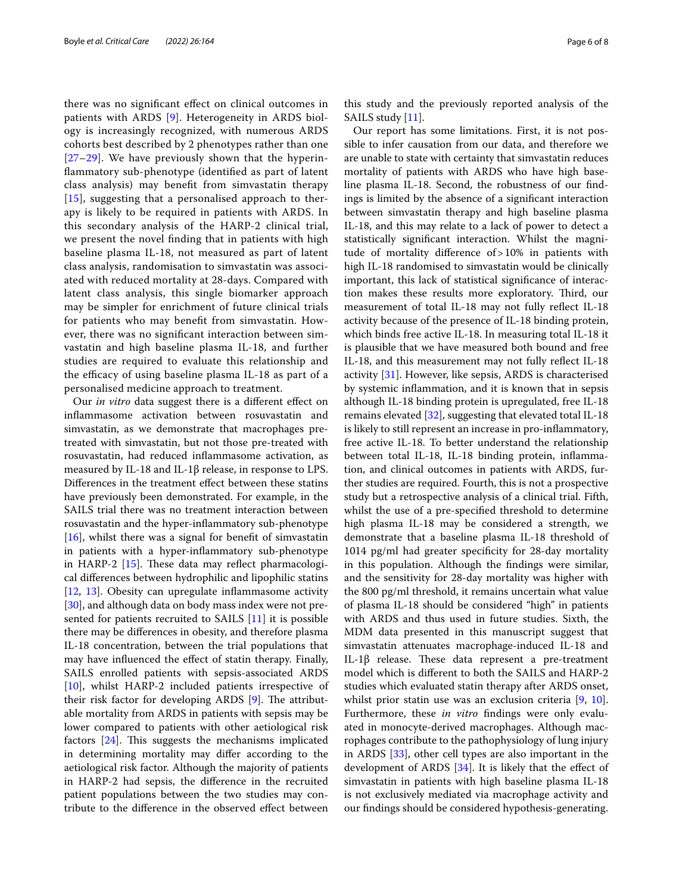there was no signifcant efect on clinical outcomes in patients with ARDS [\[9](#page-6-8)]. Heterogeneity in ARDS biology is increasingly recognized, with numerous ARDS cohorts best described by 2 phenotypes rather than one [[27](#page-7-15)[–29](#page-7-16)]. We have previously shown that the hyperinfammatory sub-phenotype (identifed as part of latent class analysis) may beneft from simvastatin therapy [[15](#page-7-3)], suggesting that a personalised approach to therapy is likely to be required in patients with ARDS. In this secondary analysis of the HARP-2 clinical trial, we present the novel fnding that in patients with high baseline plasma IL-18, not measured as part of latent class analysis, randomisation to simvastatin was associated with reduced mortality at 28-days. Compared with latent class analysis, this single biomarker approach may be simpler for enrichment of future clinical trials for patients who may beneft from simvastatin. However, there was no signifcant interaction between simvastatin and high baseline plasma IL-18, and further studies are required to evaluate this relationship and the efficacy of using baseline plasma IL-18 as part of a personalised medicine approach to treatment.

Our *in vitro* data suggest there is a diferent efect on infammasome activation between rosuvastatin and simvastatin, as we demonstrate that macrophages pretreated with simvastatin, but not those pre-treated with rosuvastatin, had reduced infammasome activation, as measured by IL-18 and IL-1β release, in response to LPS. Diferences in the treatment efect between these statins have previously been demonstrated. For example, in the SAILS trial there was no treatment interaction between rosuvastatin and the hyper-infammatory sub-phenotype  $[16]$  $[16]$ , whilst there was a signal for benefit of simvastatin in patients with a hyper-infammatory sub-phenotype in HARP-2  $[15]$  $[15]$ . These data may reflect pharmacological diferences between hydrophilic and lipophilic statins [[12,](#page-7-0) [13\]](#page-7-1). Obesity can upregulate inflammasome activity [[30\]](#page-7-17), and although data on body mass index were not presented for patients recruited to SAILS [\[11](#page-6-10)] it is possible there may be diferences in obesity, and therefore plasma IL-18 concentration, between the trial populations that may have infuenced the efect of statin therapy. Finally, SAILS enrolled patients with sepsis-associated ARDS [[10\]](#page-6-9), whilst HARP-2 included patients irrespective of their risk factor for developing ARDS  $[9]$  $[9]$ . The attributable mortality from ARDS in patients with sepsis may be lower compared to patients with other aetiological risk factors  $[24]$  $[24]$  $[24]$ . This suggests the mechanisms implicated in determining mortality may difer according to the aetiological risk factor. Although the majority of patients in HARP-2 had sepsis, the diference in the recruited patient populations between the two studies may contribute to the diference in the observed efect between this study and the previously reported analysis of the SAILS study [[11](#page-6-10)].

Our report has some limitations. First, it is not possible to infer causation from our data, and therefore we are unable to state with certainty that simvastatin reduces mortality of patients with ARDS who have high baseline plasma IL-18. Second, the robustness of our fndings is limited by the absence of a signifcant interaction between simvastatin therapy and high baseline plasma IL-18, and this may relate to a lack of power to detect a statistically signifcant interaction. Whilst the magnitude of mortality diference of>10% in patients with high IL-18 randomised to simvastatin would be clinically important, this lack of statistical signifcance of interaction makes these results more exploratory. Third, our measurement of total IL-18 may not fully refect IL-18 activity because of the presence of IL-18 binding protein, which binds free active IL-18. In measuring total IL-18 it is plausible that we have measured both bound and free IL-18, and this measurement may not fully refect IL-18 activity [[31](#page-7-18)]. However, like sepsis, ARDS is characterised by systemic infammation, and it is known that in sepsis although IL-18 binding protein is upregulated, free IL-18 remains elevated [[32\]](#page-7-19), suggesting that elevated total IL-18 is likely to still represent an increase in pro-infammatory, free active IL-18. To better understand the relationship between total IL-18, IL-18 binding protein, infammation, and clinical outcomes in patients with ARDS, further studies are required. Fourth, this is not a prospective study but a retrospective analysis of a clinical trial. Fifth, whilst the use of a pre-specifed threshold to determine high plasma IL-18 may be considered a strength, we demonstrate that a baseline plasma IL-18 threshold of 1014 pg/ml had greater specifcity for 28-day mortality in this population. Although the fndings were similar, and the sensitivity for 28-day mortality was higher with the 800 pg/ml threshold, it remains uncertain what value of plasma IL-18 should be considered "high" in patients with ARDS and thus used in future studies. Sixth, the MDM data presented in this manuscript suggest that simvastatin attenuates macrophage-induced IL-18 and IL-1β release. These data represent a pre-treatment model which is diferent to both the SAILS and HARP-2 studies which evaluated statin therapy after ARDS onset, whilst prior statin use was an exclusion criteria [\[9](#page-6-8), [10](#page-6-9)]. Furthermore, these *in vitro* fndings were only evaluated in monocyte-derived macrophages. Although macrophages contribute to the pathophysiology of lung injury in ARDS [\[33\]](#page-7-20), other cell types are also important in the development of ARDS  $[34]$ . It is likely that the effect of simvastatin in patients with high baseline plasma IL-18 is not exclusively mediated via macrophage activity and our fndings should be considered hypothesis-generating.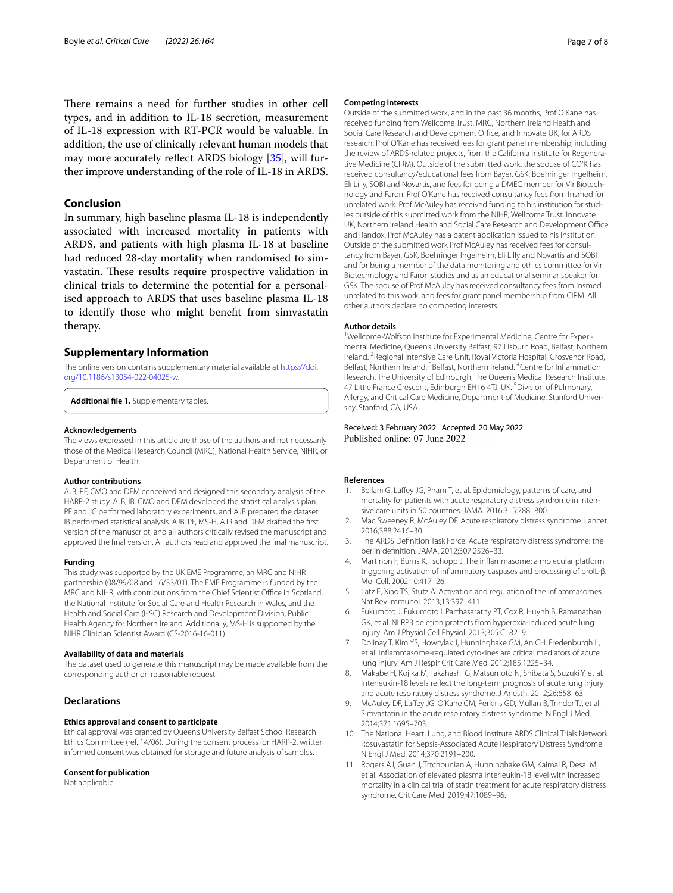There remains a need for further studies in other cell types, and in addition to IL-18 secretion, measurement of IL-18 expression with RT-PCR would be valuable. In addition, the use of clinically relevant human models that may more accurately refect ARDS biology [\[35\]](#page-7-22), will further improve understanding of the role of IL-18 in ARDS.

#### **Conclusion**

In summary, high baseline plasma IL-18 is independently associated with increased mortality in patients with ARDS, and patients with high plasma IL-18 at baseline had reduced 28-day mortality when randomised to simvastatin. These results require prospective validation in clinical trials to determine the potential for a personalised approach to ARDS that uses baseline plasma IL-18 to identify those who might beneft from simvastatin therapy.

#### **Supplementary Information**

The online version contains supplementary material available at [https://doi.](https://doi.org/10.1186/s13054-022-04025-w) [org/10.1186/s13054-022-04025-w.](https://doi.org/10.1186/s13054-022-04025-w)

<span id="page-6-11"></span>**Additional fle 1.** Supplementary tables.

#### **Acknowledgements**

The views expressed in this article are those of the authors and not necessarily those of the Medical Research Council (MRC), National Health Service, NIHR, or Department of Health.

#### **Author contributions**

AJB, PF, CMO and DFM conceived and designed this secondary analysis of the HARP-2 study. AJB, IB, CMO and DFM developed the statistical analysis plan. PF and JC performed laboratory experiments, and AJB prepared the dataset. IB performed statistical analysis. AJB, PF, MS-H, AJR and DFM drafted the frst version of the manuscript, and all authors critically revised the manuscript and approved the fnal version. All authors read and approved the fnal manuscript.

#### **Funding**

This study was supported by the UK EME Programme, an MRC and NIHR partnership (08/99/08 and 16/33/01). The EME Programme is funded by the MRC and NIHR, with contributions from the Chief Scientist Office in Scotland, the National Institute for Social Care and Health Research in Wales, and the Health and Social Care (HSC) Research and Development Division, Public Health Agency for Northern Ireland. Additionally, MS-H is supported by the NIHR Clinician Scientist Award (CS-2016-16-011).

#### **Availability of data and materials**

The dataset used to generate this manuscript may be made available from the corresponding author on reasonable request.

#### **Declarations**

#### **Ethics approval and consent to participate**

Ethical approval was granted by Queen's University Belfast School Research Ethics Committee (ref. 14/06). During the consent process for HARP-2, written informed consent was obtained for storage and future analysis of samples.

#### **Consent for publication**

Not applicable.

#### **Competing interests**

Outside of the submitted work, and in the past 36 months, Prof O'Kane has received funding from Wellcome Trust, MRC, Northern Ireland Health and Social Care Research and Development Office, and Innovate UK, for ARDS research. Prof O'Kane has received fees for grant panel membership, including the review of ARDS-related projects, from the California Institute for Regenerative Medicine (CIRM). Outside of the submitted work, the spouse of CO'K has received consultancy/educational fees from Bayer, GSK, Boehringer Ingelheim, Eli Lilly, SOBI and Novartis, and fees for being a DMEC member for VIr Biotechnology and Faron. Prof O'Kane has received consultancy fees from Insmed for unrelated work. Prof McAuley has received funding to his institution for studies outside of this submitted work from the NIHR, Wellcome Trust, Innovate UK, Northern Ireland Health and Social Care Research and Development Office and Randox. Prof McAuley has a patent application issued to his institution. Outside of the submitted work Prof McAuley has received fees for consultancy from Bayer, GSK, Boehringer Ingelheim, Eli Lilly and Novartis and SOBI and for being a member of the data monitoring and ethics committee for Vir Biotechnology and Faron studies and as an educational seminar speaker for GSK. The spouse of Prof McAuley has received consultancy fees from Insmed unrelated to this work, and fees for grant panel membership from CIRM. All other authors declare no competing interests.

#### **Author details**

<sup>1</sup>Wellcome-Wolfson Institute for Experimental Medicine, Centre for Experimental Medicine, Queen's University Belfast, 97 Lisburn Road, Belfast, Northern Ireland. <sup>2</sup> Regional Intensive Care Unit, Royal Victoria Hospital, Grosvenor Road, Belfast, Northern Ireland. <sup>3</sup> Belfast, Northern Ireland. <sup>4</sup> Centre for Inflammation Research, The University of Edinburgh, The Queen's Medical Research Institute, 47 Little France Crescent, Edinburgh EH16 4TJ, UK.<sup>5</sup> Division of Pulmonary, Allergy, and Critical Care Medicine, Department of Medicine, Stanford University, Stanford, CA, USA.

# Received: 3 February 2022 Accepted: 20 May 2022 Published online: 07 June 2022

#### **References**

- <span id="page-6-0"></span>1. Bellani G, Lafey JG, Pham T, et al. Epidemiology, patterns of care, and mortality for patients with acute respiratory distress syndrome in intensive care units in 50 countries. JAMA. 2016;315:788–800.
- <span id="page-6-1"></span>2. Mac Sweeney R, McAuley DF. Acute respiratory distress syndrome. Lancet. 2016;388:2416–30.
- <span id="page-6-2"></span>3. The ARDS Defnition Task Force. Acute respiratory distress syndrome: the berlin defnition. JAMA. 2012;307:2526–33.
- <span id="page-6-3"></span>4. Martinon F, Burns K, Tschopp J. The infammasome: a molecular platform triggering activation of infammatory caspases and processing of proIL-β. Mol Cell. 2002;10:417–26.
- <span id="page-6-4"></span>5. Latz E, Xiao TS, Stutz A. Activation and regulation of the infammasomes. Nat Rev Immunol. 2013;13:397–411.
- <span id="page-6-5"></span>Fukumoto J, Fukumoto I, Parthasarathy PT, Cox R, Huynh B, Ramanathan GK, et al. NLRP3 deletion protects from hyperoxia-induced acute lung injury. Am J Physiol Cell Physiol. 2013;305:C182–9.
- <span id="page-6-6"></span>7. Dolinay T, Kim YS, Howrylak J, Hunninghake GM, An CH, Fredenburgh L, et al. Infammasome-regulated cytokines are critical mediators of acute lung injury. Am J Respir Crit Care Med. 2012;185:1225–34.
- <span id="page-6-7"></span>8. Makabe H, Kojika M, Takahashi G, Matsumoto N, Shibata S, Suzuki Y, et al. Interleukin-18 levels refect the long-term prognosis of acute lung injury and acute respiratory distress syndrome. J Anesth. 2012;26:658–63.
- <span id="page-6-8"></span>9. McAuley DF, Lafey JG, O'Kane CM, Perkins GD, Mullan B, Trinder TJ, et al. Simvastatin in the acute respiratory distress syndrome. N Engl J Med. 2014;371:1695–703.
- <span id="page-6-9"></span>10. The National Heart, Lung, and Blood Institute ARDS Clinical Trials Network Rosuvastatin for Sepsis-Associated Acute Respiratory Distress Syndrome. N Engl J Med. 2014;370:2191–200.
- <span id="page-6-10"></span>11. Rogers AJ, Guan J, Trtchounian A, Hunninghake GM, Kaimal R, Desai M, et al. Association of elevated plasma interleukin-18 level with increased mortality in a clinical trial of statin treatment for acute respiratory distress syndrome. Crit Care Med. 2019;47:1089–96.